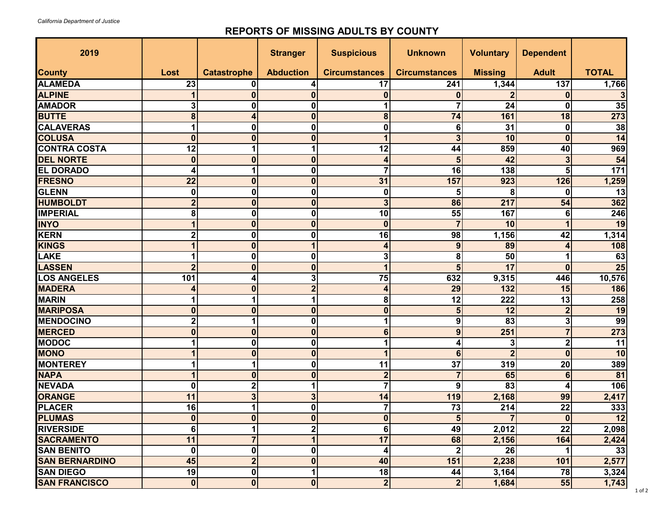## **REPORTS OF MISSING ADULTS BY COUNTY**

| 2019                  |                  |                    | <b>Stranger</b>         | <b>Suspicious</b>       | <b>Unknown</b>       | <b>Voluntary</b> | <b>Dependent</b>        |                 |
|-----------------------|------------------|--------------------|-------------------------|-------------------------|----------------------|------------------|-------------------------|-----------------|
| <b>County</b>         | Lost             | <b>Catastrophe</b> | <b>Abduction</b>        | <b>Circumstances</b>    | <b>Circumstances</b> | <b>Missing</b>   | <b>Adult</b>            | <b>TOTAL</b>    |
| <b>ALAMEDA</b>        | 23               | 0                  | 4                       | 17                      | 241                  | 1,344            | 137                     | 1,766           |
| <b>ALPINE</b>         |                  | $\bf{0}$           | $\bf{0}$                | $\boldsymbol{0}$        | 0                    |                  | $\bf{0}$                |                 |
| <b>AMADOR</b>         | 3                | 0                  | 0                       |                         |                      | 24               | 0                       | 35              |
| <b>BUTTE</b>          | 8                | 4                  | 0                       | 8                       | 74                   | 161              | 18                      | 273             |
| <b>CALAVERAS</b>      |                  | 0                  | 0                       | $\mathbf 0$             | 6                    | 31               | 0                       | 38              |
| <b>COLUSA</b>         | $\bf{0}$         | $\bf{0}$           | $\mathbf{0}$            |                         | 3                    | 10               | $\bf{0}$                | $\overline{14}$ |
| <b>CONTRA COSTA</b>   | 12               | 1                  |                         | 12                      | 44                   | 859              | 40                      | 969             |
| <b>DEL NORTE</b>      | $\bf{0}$         | $\bf{0}$           | 0                       | $\overline{\mathbf{r}}$ | 5                    | 42               | 3                       | $\overline{54}$ |
| <b>EL DORADO</b>      | 4                | 1                  | 0                       | $\overline{7}$          | 16                   | 138              | 5                       | $171$           |
| <b>FRESNO</b>         | 22               | $\bf{0}$           | $\bf{0}$                | 31                      | 157                  | 923              | 126                     | 1,259           |
| GLENN                 | 0                | 0                  | 0                       | 0                       | 5                    | 8                | 0                       | 13              |
| <b>HUMBOLDT</b>       | $\overline{2}$   | $\bf{0}$           | $\bf{0}$                | $\mathbf{3}$            | 86                   | 217              | 54                      | 362             |
| <b>IMPERIAL</b>       | 8                | 0                  | 0                       | 10                      | 55                   | 167              | 6                       | 246             |
| <b>INYO</b>           |                  | 0                  | 0                       | $\boldsymbol{0}$        |                      | 10               | 1                       | 19              |
| KERN                  |                  | 0                  | 0                       | 16                      | 98                   | 1,156            | 42                      | 1,314           |
| <b>KINGS</b>          |                  | $\bf{0}$           |                         | 4                       | 9                    | 89               | 4                       | 108             |
| LAKE                  |                  | 0                  | 0                       | 3                       | 8                    | 50               | 1                       | 63              |
| <b>LASSEN</b>         |                  | $\bf{0}$           | $\bf{0}$                | 1                       | 5                    | 17               | $\bf{0}$                | $\overline{25}$ |
| <b>LOS ANGELES</b>    | 101              | 4                  | 3                       | 75                      | 632                  | 9,315            | 446                     | 10,576          |
| <b>MADERA</b>         |                  | 0                  | $\overline{2}$          | $\overline{\mathbf{r}}$ | 29                   | 132              | 15                      | 186             |
| <b>MARIN</b>          |                  |                    |                         | 8                       | 12                   | 222              | 13                      | 258             |
| <b>MARIPOSA</b>       | 0                | 0                  | $\bf{0}$                | $\boldsymbol{0}$        |                      | 12               | $\overline{2}$          | 19              |
| <b>MENDOCINO</b>      | 2                |                    | 0                       | 1                       | 9                    | 83               | 3                       | 99              |
| <b>MERCED</b>         | 0                | $\bf{0}$           | $\mathbf{0}$            | $6\phantom{1}$          | 9                    | 251              | $\overline{7}$          | 273             |
| <b>MODOC</b>          |                  | 0                  | 0                       |                         |                      | 3                | $\overline{\mathbf{2}}$ | 11              |
| <b>MONO</b>           |                  | $\bf{0}$           | $\boldsymbol{0}$        |                         | 6 <sup>1</sup>       | $\overline{2}$   | $\bf{0}$                | 10              |
| <b>MONTEREY</b>       |                  | 1                  | 0                       | 11                      | 37                   | 319              | 20                      | 389             |
| <b>NAPA</b>           |                  | 0                  | $\bf{0}$                | $\boldsymbol{2}$        |                      | 65               | 6                       | 81              |
| <b>NEVADA</b>         | 0                | $\overline{2}$     |                         | $\overline{7}$          | 9                    | 83               | 4                       | 106             |
| <b>ORANGE</b>         | 11               | 3                  | 3                       | 14                      | 119                  | 2,168            | 99                      | 2,417           |
| <b>PLACER</b>         | 16               |                    | 0                       | 7                       | 73                   | 214              | 22                      | 333             |
| <b>PLUMAS</b>         | 0                | $\bf{0}$           | $\bf{0}$                | $\boldsymbol{0}$        | 5                    |                  | $\bf{0}$                | 12              |
| <b>RIVERSIDE</b>      | 6                |                    | $\overline{\mathbf{2}}$ | 6                       | 49                   | 2,012            | 22                      | 2,098           |
| <b>SACRAMENTO</b>     | 11               | 7                  | 1                       | 17                      | 68                   | 2,156            | 164                     | 2,424           |
| <b>SAN BENITO</b>     | 0                | 0                  | 0                       | 4                       |                      | 26               |                         | 33              |
| <b>SAN BERNARDINO</b> | 45               | $\overline{2}$     | $\mathbf{0}$            | 40                      | 151                  | 2,238            | 101                     | 2,577           |
| <b>SAN DIEGO</b>      | 19               | $\boldsymbol{0}$   | 1                       | 18                      | 44                   | 3,164            | 78                      | 3,324           |
| <b>SAN FRANCISCO</b>  | $\boldsymbol{0}$ | $\mathbf{0}$       | $\mathbf 0$             | $\overline{\mathbf{2}}$ | $\overline{2}$       | 1,684            | 55                      | 1,743           |